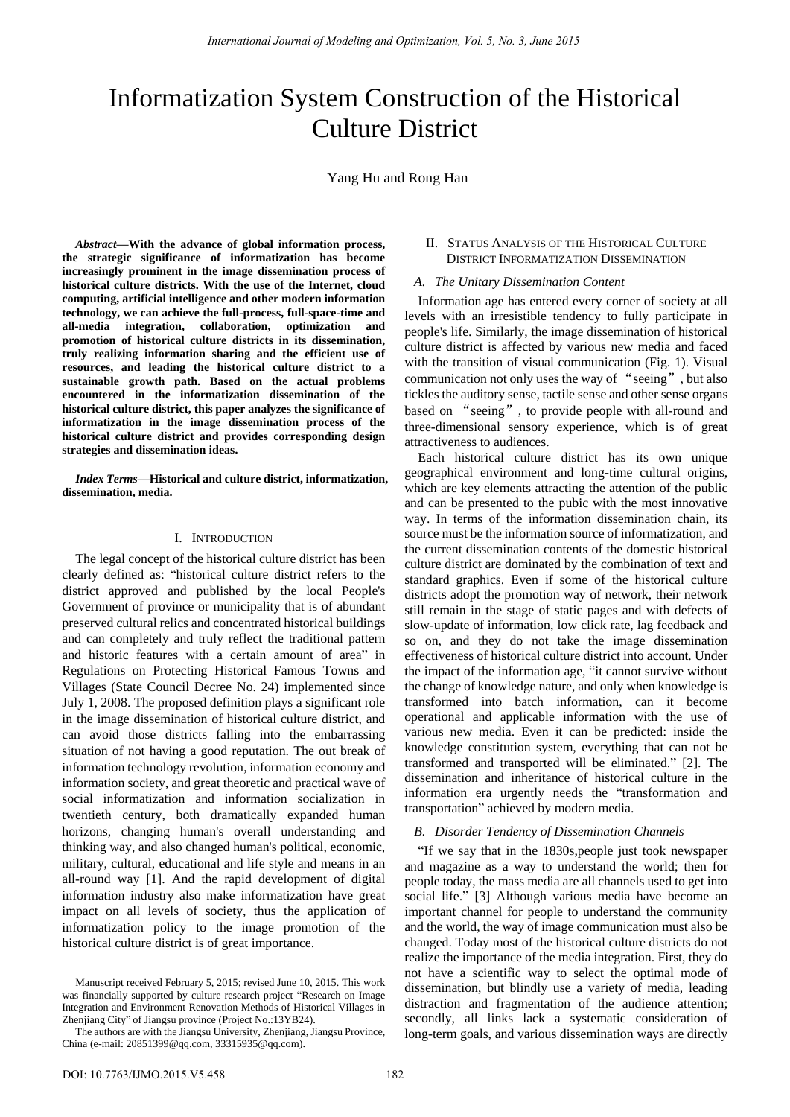# Informatization System Construction of the Historical Culture District

# Yang Hu and Rong Han

*Abstract***—With the advance of global information process, the strategic significance of informatization has become increasingly prominent in the image dissemination process of historical culture districts. With the use of the Internet, cloud computing, artificial intelligence and other modern information technology, we can achieve the full-process, full-space-time and all-media integration, collaboration, optimization and promotion of historical culture districts in its dissemination, truly realizing information sharing and the efficient use of resources, and leading the historical culture district to a sustainable growth path. Based on the actual problems encountered in the informatization dissemination of the historical culture district, this paper analyzes the significance of informatization in the image dissemination process of the historical culture district and provides corresponding design strategies and dissemination ideas.** 

*Index Terms***—Historical and culture district, informatization, dissemination, media.** 

#### I. INTRODUCTION

The legal concept of the historical culture district has been clearly defined as: "historical culture district refers to the district approved and published by the local People's Government of province or municipality that is of abundant preserved cultural relics and concentrated historical buildings and can completely and truly reflect the traditional pattern and historic features with a certain amount of area" in Regulations on Protecting Historical Famous Towns and Villages (State Council Decree No. 24) implemented since July 1, 2008. The proposed definition plays a significant role in the image dissemination of historical culture district, and can avoid those districts falling into the embarrassing situation of not having a good reputation. The out break of information technology revolution, information economy and information society, and great theoretic and practical wave of social informatization and information socialization in twentieth century, both dramatically expanded human horizons, changing human's overall understanding and thinking way, and also changed human's political, economic, military, cultural, educational and life style and means in an all-round way [1]. And the rapid development of digital information industry also make informatization have great impact on all levels of society, thus the application of informatization policy to the image promotion of the historical culture district is of great importance.

## II. STATUS ANALYSIS OF THE HISTORICAL CULTURE DISTRICT INFORMATIZATION DISSEMINATION

## *A. The Unitary Dissemination Content*

Information age has entered every corner of society at all levels with an irresistible tendency to fully participate in people's life. Similarly, the image dissemination of historical culture district is affected by various new media and faced with the transition of visual communication (Fig. 1). Visual communication not only uses the way of "seeing", but also tickles the auditory sense, tactile sense and other sense organs based on "seeing", to provide people with all-round and three-dimensional sensory experience, which is of great attractiveness to audiences.

Each historical culture district has its own unique geographical environment and long-time cultural origins, which are key elements attracting the attention of the public and can be presented to the pubic with the most innovative way. In terms of the information dissemination chain, its source must be the information source of informatization, and the current dissemination contents of the domestic historical culture district are dominated by the combination of text and standard graphics. Even if some of the historical culture districts adopt the promotion way of network, their network still remain in the stage of static pages and with defects of slow-update of information, low click rate, lag feedback and so on, and they do not take the image dissemination effectiveness of historical culture district into account. Under the impact of the information age, "it cannot survive without the change of knowledge nature, and only when knowledge is transformed into batch information, can it become operational and applicable information with the use of various new media. Even it can be predicted: inside the knowledge constitution system, everything that can not be transformed and transported will be eliminated." [2]. The dissemination and inheritance of historical culture in the information era urgently needs the "transformation and transportation" achieved by modern media.

## *B. Disorder Tendency of Dissemination Channels*

"If we say that in the 1830s,people just took newspaper and magazine as a way to understand the world; then for people today, the mass media are all channels used to get into social life." [3] Although various media have become an important channel for people to understand the community and the world, the way of image communication must also be changed. Today most of the historical culture districts do not realize the importance of the media integration. First, they do not have a scientific way to select the optimal mode of dissemination, but blindly use a variety of media, leading distraction and fragmentation of the audience attention; secondly, all links lack a systematic consideration of long-term goals, and various dissemination ways are directly

Manuscript receive[d February 5](file:///C:/Users/Administrator/AppData/Local/Yodao/DeskDict/frame/20150402204724/javascript:void(0);), 2015; revised June 10, 2015. This work was financially supported by culture research project "Research on Image Integration and Environment Renovation Methods of Historical Villages in Zhenjiang City" of Jiangsu province (Project No.:13YB24).

The authors are with the Jiangsu University, Zhenjiang, Jiangsu Province, China (e-mail: 20851399@qq.com, 33315935@qq.com).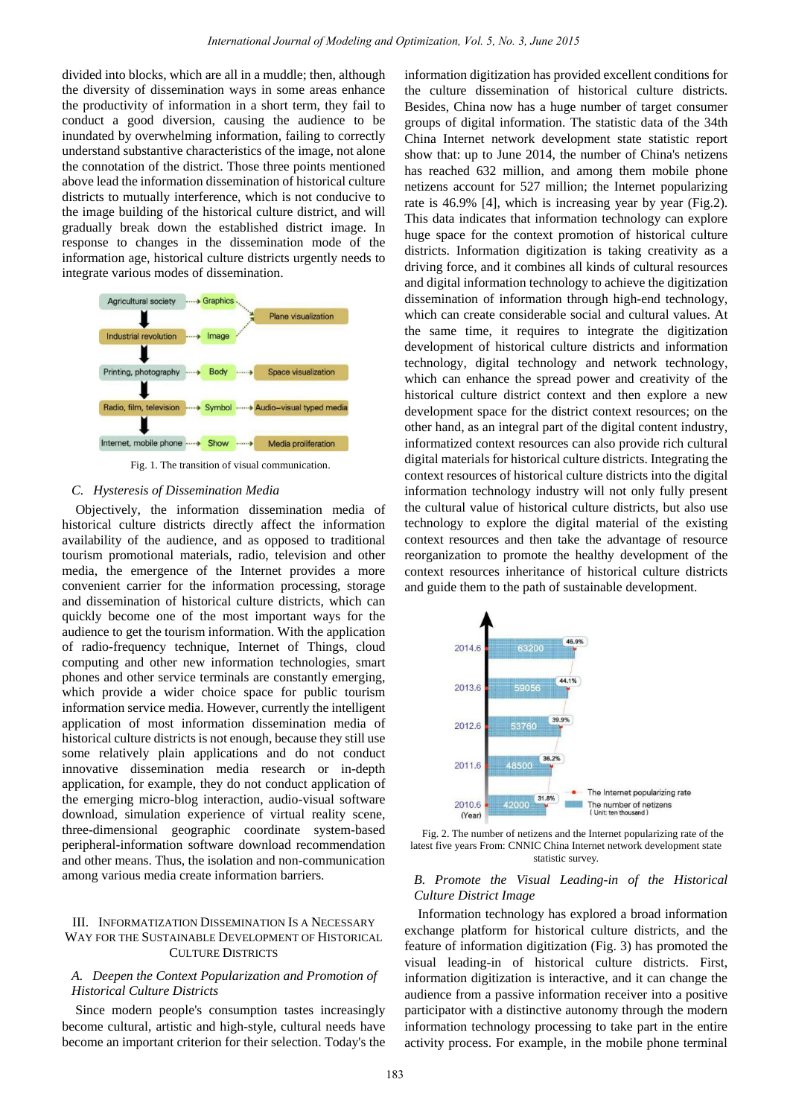divided into blocks, which are all in a muddle; then, although the diversity of dissemination ways in some areas enhance the productivity of information in a short term, they fail to conduct a good diversion, causing the audience to be inundated by overwhelming information, failing to correctly understand substantive characteristics of the image, not alone the connotation of the district. Those three points mentioned above lead the information dissemination of historical culture districts to mutually interference, which is not conducive to the image building of the historical culture district, and will gradually break down the established district image. In response to changes in the dissemination mode of the information age, historical culture districts urgently needs to integrate various modes of dissemination.



Fig. 1. The transition of visual communication.

## *C. Hysteresis of Dissemination Media*

Objectively, the information dissemination media of historical culture districts directly affect the information availability of the audience, and as opposed to traditional tourism promotional materials, radio, television and other media, the emergence of the Internet provides a more convenient carrier for the information processing, storage and dissemination of historical culture districts, which can quickly become one of the most important ways for the audience to get the tourism information. With the application of radio-frequency technique, Internet of Things, cloud computing and other new information technologies, smart phones and other service terminals are constantly emerging, which provide a wider choice space for public tourism information service media. However, currently the intelligent application of most information dissemination media of historical culture districts is not enough, because they still use some relatively plain applications and do not conduct innovative dissemination media research or in-depth application, for example, they do not conduct application of the emerging micro-blog interaction, audio-visual software download, simulation experience of virtual reality scene, three-dimensional geographic coordinate system-based peripheral-information software download recommendation and other means. Thus, the isolation and non-communication among various media create information barriers.

# III. INFORMATIZATION DISSEMINATION IS A NECESSARY WAY FOR THE SUSTAINABLE DEVELOPMENT OF HISTORICAL CULTURE DISTRICTS

# *A. Deepen the Context Popularization and Promotion of Historical Culture Districts*

Since modern people's consumption tastes increasingly become cultural, artistic and high-style, cultural needs have become an important criterion for their selection. Today's the

information digitization has provided excellent conditions for the culture dissemination of historical culture districts. Besides, China now has a huge number of target consumer groups of digital information. The statistic data of the 34th China Internet network development state statistic report show that: up to June 2014, the number of China's netizens has reached 632 million, and among them mobile phone netizens account for 527 million; the Internet popularizing rate is 46.9% [4], which is increasing year by year (Fig.2). This data indicates that information technology can explore huge space for the context promotion of historical culture districts. Information digitization is taking creativity as a driving force, and it combines all kinds of cultural resources and digital information technology to achieve the digitization dissemination of information through high-end technology, which can create considerable social and cultural values. At the same time, it requires to integrate the digitization development of historical culture districts and information technology, digital technology and network technology, which can enhance the spread power and creativity of the historical culture district context and then explore a new development space for the district context resources; on the other hand, as an integral part of the digital content industry, informatized context resources can also provide rich cultural digital materials for historical culture districts. Integrating the context resources of historical culture districts into the digital information technology industry will not only fully present the cultural value of historical culture districts, but also use technology to explore the digital material of the existing context resources and then take the advantage of resource reorganization to promote the healthy development of the context resources inheritance of historical culture districts and guide them to the path of sustainable development.



Fig. 2. The number of netizens and the Internet popularizing rate of the latest five years From: CNNIC China Internet network development state statistic survey.

# *B. Promote the Visual Leading-in of the Historical Culture District Image*

Information technology has explored a broad information exchange platform for historical culture districts, and the feature of information digitization (Fig. 3) has promoted the visual leading-in of historical culture districts. First, information digitization is interactive, and it can change the audience from a passive information receiver into a positive participator with a distinctive autonomy through the modern information technology processing to take part in the entire activity process. For example, in the mobile phone terminal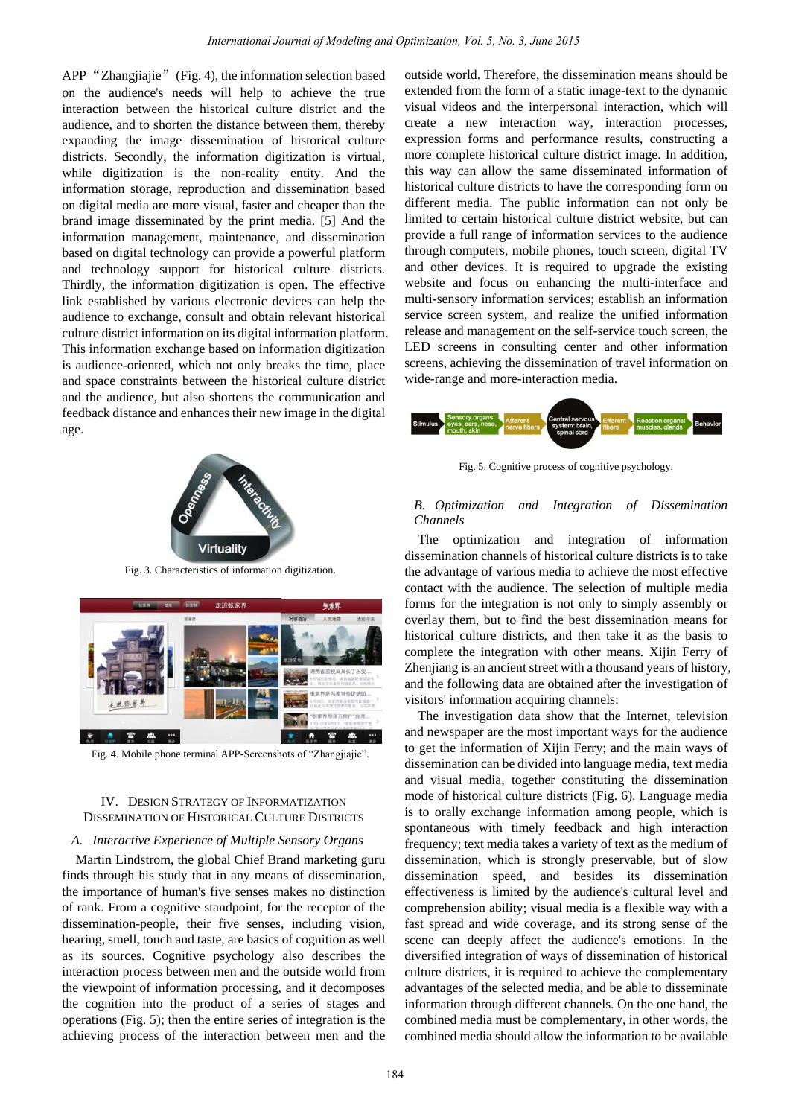APP "Zhangjiajie"(Fig. 4), the information selection based on the audience's needs will help to achieve the true interaction between the historical culture district and the audience, and to shorten the distance between them, thereby expanding the image dissemination of historical culture districts. Secondly, the information digitization is virtual, while digitization is the non-reality entity. And the information storage, reproduction and dissemination based on digital media are more visual, faster and cheaper than the brand image disseminated by the print media. [5] And the information management, maintenance, and dissemination based on digital technology can provide a powerful platform and technology support for historical culture districts. Thirdly, the information digitization is open. The effective link established by various electronic devices can help the audience to exchange, consult and obtain relevant historical culture district information on its digital information platform. This information exchange based on information digitization is audience-oriented, which not only breaks the time, place and space constraints between the historical culture district and the audience, but also shortens the communication and feedback distance and enhances their new image in the digital age.



Fig. 3. Characteristics of information digitization.



Fig. 4. Mobile phone terminal APP-Screenshots of "Zhangjiajie".

## IV. DESIGN STRATEGY OF INFORMATIZATION DISSEMINATION OF HISTORICAL CULTURE DISTRICTS

## *A. Interactive Experience of Multiple Sensory Organs*

Martin Lindstrom, the global Chief Brand marketing guru finds through his study that in any means of dissemination, the importance of human's five senses makes no distinction of rank. From a cognitive standpoint, for the receptor of the dissemination-people, their five senses, including vision, hearing, smell, touch and taste, are basics of cognition as well as its sources. Cognitive psychology also describes the interaction process between men and the outside world from the viewpoint of information processing, and it decomposes the cognition into the product of a series of stages and operations (Fig. 5); then the entire series of integration is the achieving process of the interaction between men and the

outside world. Therefore, the dissemination means should be extended from the form of a static image-text to the dynamic visual videos and the interpersonal interaction, which will create a new interaction way, interaction processes, expression forms and performance results, constructing a more complete historical culture district image. In addition, this way can allow the same disseminated information of historical culture districts to have the corresponding form on different media. The public information can not only be limited to certain historical culture district website, but can provide a full range of information services to the audience through computers, mobile phones, touch screen, digital TV and other devices. It is required to upgrade the existing website and focus on enhancing the multi-interface and multi-sensory information services; establish an information service screen system, and realize the unified information release and management on the self-service touch screen, the LED screens in consulting center and other information screens, achieving the dissemination of travel information on wide-range and more-interaction media.



Fig. 5. Cognitive process of cognitive psychology.

## *B. Optimization and Integration of Dissemination Channels*

The optimization and integration of information dissemination channels of historical culture districts is to take the advantage of various media to achieve the most effective contact with the audience. The selection of multiple media forms for the integration is not only to simply assembly or overlay them, but to find the best dissemination means for historical culture districts, and then take it as the basis to complete the integration with other means. Xijin Ferry of Zhenjiang is an ancient street with a thousand years of history, and the following data are obtained after the investigation of visitors' information acquiring channels:

The investigation data show that the Internet, television and newspaper are the most important ways for the audience to get the information of Xijin Ferry; and the main ways of dissemination can be divided into language media, text media and visual media, together constituting the dissemination mode of historical culture districts (Fig. 6). Language media is to orally exchange information among people, which is spontaneous with timely feedback and high interaction frequency; text media takes a variety of text as the medium of dissemination, which is strongly preservable, but of slow dissemination speed, and besides its dissemination effectiveness is limited by the audience's cultural level and comprehension ability; visual media is a flexible way with a fast spread and wide coverage, and its strong sense of the scene can deeply affect the audience's emotions. In the diversified integration of ways of dissemination of historical culture districts, it is required to achieve the complementary advantages of the selected media, and be able to disseminate information through different channels. On the one hand, the combined media must be complementary, in other words, the combined media should allow the information to be available